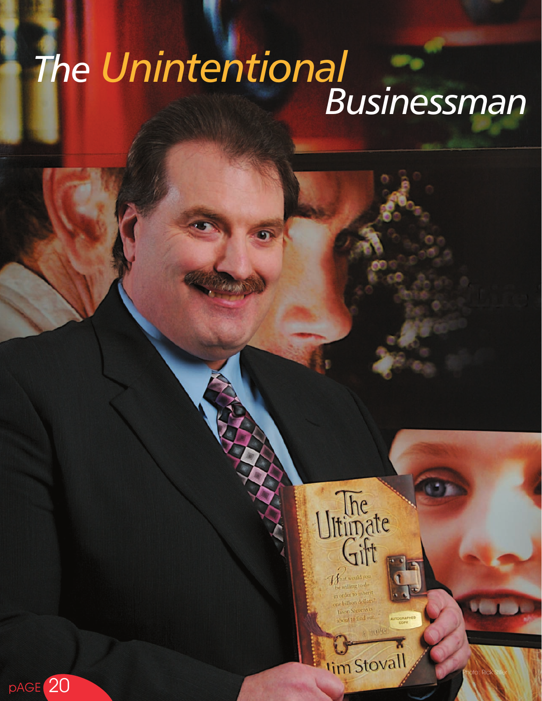# *The Unintentional Businessman*

Photo: Rick Stiller

Ultimate

**I'm Stovall** 

pAGE 20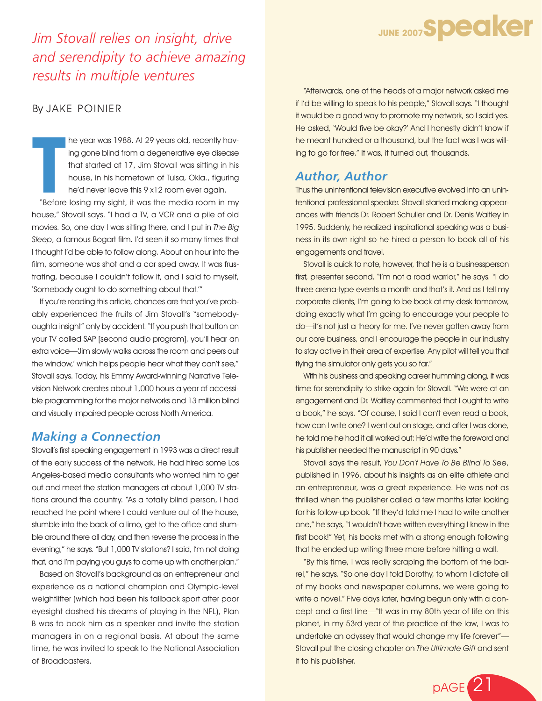

*Jim Stovall relies on insight, drive and serendipity to achieve amazing results in multiple ventures*

#### By JAKE POINIER

**T**<br> **T**<br> **T**<br> **T**<br> **T**<br> **T**<br> **T**<br> **T** he year was 1988. At 29 years old, recently having gone blind from a degenerative eye disease that started at 17, Jim Stovall was sitting in his house, in his hometown of Tulsa, Okla., figuring he'd never leave this 9 x12 room ever again.

"Before losing my sight, it was the media room in my house," Stovall says. "I had a TV, a VCR and a pile of old movies. So, one day I was sitting there, and I put in *The Big Sleep*, a famous Bogart film. I'd seen it so many times that I thought I'd be able to follow along. About an hour into the film, someone was shot and a car sped away. It was frustrating, because I couldn't follow it, and I said to myself, 'Somebody ought to do something about that.'"

If you're reading this article, chances are that you've probably experienced the fruits of Jim Stovall's "somebodyoughta insight" only by accident. "If you push that button on your TV called SAP [second audio program], you'll hear an extra voice—'Jim slowly walks across the room and peers out the window,' which helps people hear what they can't see," Stovall says. Today, his Emmy Award-winning Narrative Television Network creates about 1,000 hours a year of accessible programming for the major networks and 13 million blind and visually impaired people across North America.

#### *Making a Connection*

Stovall's first speaking engagement in 1993 was a direct result of the early success of the network. He had hired some Los Angeles-based media consultants who wanted him to get out and meet the station managers at about 1,000 TV stations around the country. "As a totally blind person, I had reached the point where I could venture out of the house, stumble into the back of a limo, get to the office and stumble around there all day, and then reverse the process in the evening," he says. "But 1,000 TV stations? I said, I'm not doing that, and I'm paying you guys to come up with another plan."

Based on Stovall's background as an entrepreneur and experience as a national champion and Olympic-level weightlifter (which had been his fallback sport after poor eyesight dashed his dreams of playing in the NFL), Plan B was to book him as a speaker and invite the station managers in on a regional basis. At about the same time, he was invited to speak to the National Association of Broadcasters.

"Afterwards, one of the heads of a major network asked me if I'd be willing to speak to his people," Stovall says. "I thought it would be a good way to promote my network, so I said yes. He asked, 'Would five be okay?' And I honestly didn't know if he meant hundred or a thousand, but the fact was I was willing to go for free." It was, it turned out, thousands.

### *Author, Author*

Thus the unintentional television executive evolved into an unintentional professional speaker. Stovall started making appearances with friends Dr. Robert Schuller and Dr. Denis Waitley in 1995. Suddenly, he realized inspirational speaking was a business in its own right so he hired a person to book all of his engagements and travel.

Stovall is quick to note, however, that he is a businessperson first, presenter second. "I'm not a road warrior," he says. "I do three arena-type events a month and that's it. And as I tell my corporate clients, I'm going to be back at my desk tomorrow, doing exactly what I'm going to encourage your people to do—it's not just a theory for me. I've never gotten away from our core business, and I encourage the people in our industry to stay active in their area of expertise. Any pilot will tell you that flying the simulator only gets you so far."

With his business and speaking career humming along, it was time for serendipity to strike again for Stovall. "We were at an engagement and Dr. Waitley commented that I ought to write a book," he says. "Of course, I said I can't even read a book, how can I write one? I went out on stage, and after I was done, he told me he had it all worked out: He'd write the foreword and his publisher needed the manuscript in 90 days."

Stovall says the result, *You Don't Have To Be Blind To See*, published in 1996, about his insights as an elite athlete and an entrepreneur, was a great experience. He was not as thrilled when the publisher called a few months later looking for his follow-up book. "If they'd told me I had to write another one," he says, "I wouldn't have written everything I knew in the first book!" Yet, his books met with a strong enough following that he ended up writing three more before hitting a wall.

"By this time, I was really scraping the bottom of the barrel," he says. "So one day I told Dorothy, to whom I dictate all of my books and newspaper columns, we were going to write a novel." Five days later, having begun only with a concept and a first line—"It was in my 80th year of life on this planet, in my 53rd year of the practice of the law, I was to undertake an odyssey that would change my life forever"— Stovall put the closing chapter on *The Ultimate Gift* and sent it to his publisher.

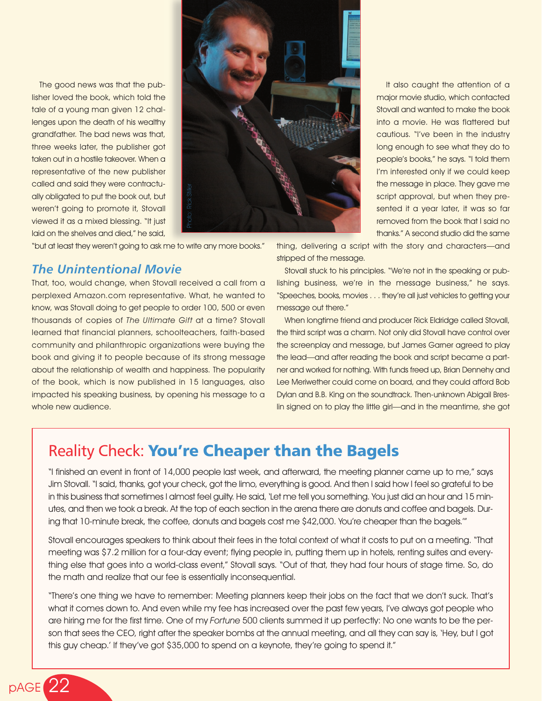The good news was that the publisher loved the book, which told the tale of a young man given 12 challenges upon the death of his wealthy grandfather. The bad news was that, three weeks later, the publisher got taken out in a hostile takeover. When a representative of the new publisher called and said they were contractually obligated to put the book out, but weren't going to promote it, Stovall viewed it as a mixed blessing. "It just laid on the shelves and died," he said,



"but at least they weren't going to ask me to write any more books."

### *The Unintentional Movie*

pAGE 22

That, too, would change, when Stovall received a call from a perplexed Amazon.com representative. What, he wanted to know, was Stovall doing to get people to order 100, 500 or even thousands of copies of *The Ultimate Gift* at a time? Stovall learned that financial planners, schoolteachers, faith-based community and philanthropic organizations were buying the book and giving it to people because of its strong message about the relationship of wealth and happiness. The popularity of the book, which is now published in 15 languages, also impacted his speaking business, by opening his message to a whole new audience. this guy counter of the state of the state of the state of the state of the state of the state of the state of the state of the state of the state of the state of the state of the state of the state of the state of the sta

thanks." A second studio did the same thing, delivering a script with the story and characters—and stripped of the message.

It also caught the attention of a major movie studio, which contacted Stovall and wanted to make the book into a movie. He was flattered but cautious. "I've been in the industry long enough to see what they do to people's books," he says. "I told them I'm interested only if we could keep the message in place. They gave me script approval, but when they presented it a year later, it was so far removed from the book that I said no

Stovall stuck to his principles. "We're not in the speaking or publishing business, we're in the message business," he says. "Speeches, books, movies . . . they're all just vehicles to getting your message out there."

When longtime friend and producer Rick Eldridge called Stovall, the third script was a charm. Not only did Stovall have control over the screenplay and message, but James Garner agreed to play the lead—and after reading the book and script became a partner and worked for nothing. With funds freed up, Brian Dennehy and Lee Meriwether could come on board, and they could afford Bob Dylan and B.B. King on the soundtrack. Then-unknown Abigail Breslin signed on to play the little girl—and in the meantime, she got

## Reality Check: You're Cheaper than the Bagels

"I finished an event in front of 14,000 people last week, and afterward, the meeting planner came up to me," says Jim Stovall. "I said, thanks, got your check, got the limo, everything is good. And then I said how I feel so grateful to be in this business that sometimes I almost feel guilty. He said, 'Let me tell you something. You just did an hour and 15 minutes, and then we took a break. At the top of each section in the arena there are donuts and coffee and bagels. During that 10-minute break, the coffee, donuts and bagels cost me \$42,000. You're cheaper than the bagels.'"

Stovall encourages speakers to think about their fees in the total context of what it costs to put on a meeting. "That meeting was \$7.2 million for a four-day event; flying people in, putting them up in hotels, renting suites and everything else that goes into a world-class event," Stovall says. "Out of that, they had four hours of stage time. So, do the math and realize that our fee is essentially inconsequential.

"There's one thing we have to remember: Meeting planners keep their jobs on the fact that we don't suck. That's what it comes down to. And even while my fee has increased over the past few years, I've always got people who are hiring me for the first time. One of my *Fortune* 500 clients summed it up perfectly: No one wants to be the person that sees the CEO, right after the speaker bombs at the annual meeting, and all they can say is, 'Hey, but I got